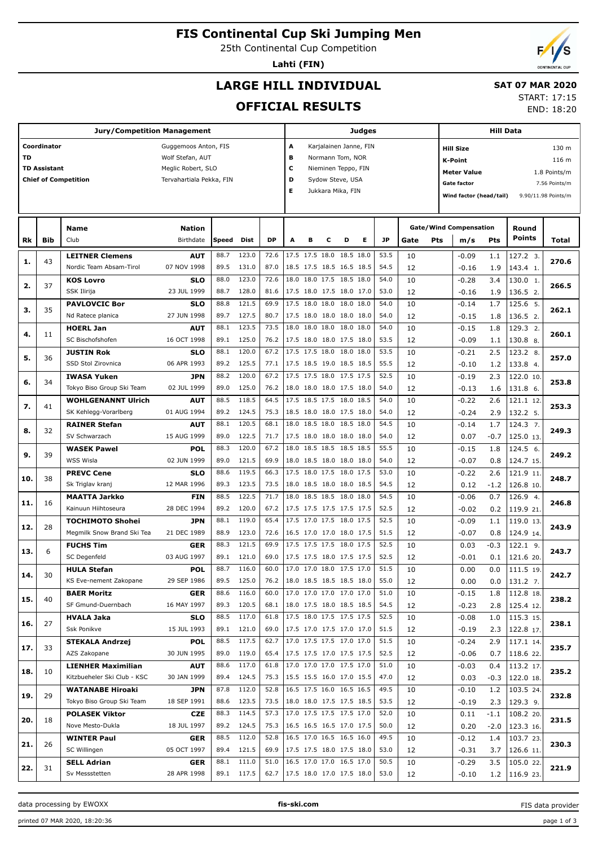# **FIS Continental Cup Ski Jumping Men**

25th Continental Cup Competition

**Lahti (FIN)**

END: 18:20

## **LARGE HILL INDIVIDUAL**

#### **SAT 07 MAR 2020** START: 17:15

**OFFICIAL RESULTS**

|     |                     |                             |                          |       |            | Judges |                                                      |                                                                                     | <b>Hill Data</b> |   |                        |              |             |                           |                               |                         |            |                     |
|-----|---------------------|-----------------------------|--------------------------|-------|------------|--------|------------------------------------------------------|-------------------------------------------------------------------------------------|------------------|---|------------------------|--------------|-------------|---------------------------|-------------------------------|-------------------------|------------|---------------------|
|     | Coordinator         |                             | Guggemoos Anton, FIS     |       |            |        | А                                                    |                                                                                     |                  |   | Karjalainen Janne, FIN |              |             | 130 m<br><b>Hill Size</b> |                               |                         |            |                     |
| TD  |                     |                             | Wolf Stefan, AUT         |       |            |        | в                                                    |                                                                                     | Normann Tom, NOR |   |                        |              |             |                           |                               |                         |            | 116 m               |
|     | <b>TD Assistant</b> |                             | Meglic Robert, SLO       |       |            |        | c                                                    |                                                                                     |                  |   |                        |              |             | <b>K-Point</b>            |                               |                         |            |                     |
|     |                     | <b>Chief of Competition</b> | Tervahartiala Pekka, FIN |       |            |        | D                                                    | Nieminen Teppo, FIN<br><b>Meter Value</b><br>Sydow Steve, USA<br><b>Gate factor</b> |                  |   |                        |              |             |                           |                               |                         |            | 1.8 Points/m        |
|     |                     |                             |                          |       |            |        | Е                                                    |                                                                                     |                  |   |                        |              |             |                           |                               |                         |            | 7.56 Points/m       |
|     |                     |                             |                          |       |            |        |                                                      | Jukkara Mika, FIN                                                                   |                  |   |                        |              |             |                           |                               | Wind factor (head/tail) |            | 9.90/11.98 Points/m |
|     |                     |                             |                          |       |            |        |                                                      |                                                                                     |                  |   |                        |              |             |                           |                               |                         |            |                     |
|     |                     | <b>Name</b>                 | Nation                   |       |            |        |                                                      |                                                                                     |                  |   |                        |              |             |                           | <b>Gate/Wind Compensation</b> |                         | Round      |                     |
| Rk  | Bib                 | Club                        | Birthdate                | Speed | Dist       | DP     | A                                                    | в                                                                                   | c                | D | Е                      | JP           | Gate<br>Pts |                           | m/s                           | Pts                     | Points     | Total               |
|     |                     |                             |                          |       |            |        |                                                      |                                                                                     |                  |   |                        |              |             |                           |                               |                         |            |                     |
| 1.  | 43                  | <b>LEITNER Clemens</b>      | AUT                      | 88.7  | 123.0      | 72.6   | 17.5 17.5 18.0 18.5 18.0                             |                                                                                     |                  |   |                        | 53.5         | 10          |                           | $-0.09$                       | 1.1                     | 127.2 3.   | 270.6               |
|     |                     | Nordic Team Absam-Tirol     | 07 NOV 1998              | 89.5  | 131.0      | 87.0   | 18.5 17.5 18.5 16.5 18.5                             |                                                                                     |                  |   |                        | 54.5         | 12          |                           | $-0.16$                       | 1.9                     | 143.4 1.   |                     |
| 2.  | 37                  | <b>KOS Lovro</b>            | <b>SLO</b>               | 88.0  | 123.0      | 72.6   | 18.0 18.0 17.5 18.5 18.0                             |                                                                                     |                  |   |                        | 54.0         | 10          |                           | $-0.28$                       | 3.4                     | 130.0 1.   | 266.5               |
|     |                     | SSK Ilirija                 | 23 JUL 1999              | 88.7  | 128.0      | 81.6   | 17.5 18.0 17.5 18.0 17.0                             |                                                                                     |                  |   |                        | 53.0         | 12          |                           | $-0.16$                       | 1.9                     | 136.5 2.   |                     |
| з.  | 35                  | <b>PAVLOVCIC Bor</b>        | <b>SLO</b>               | 88.8  | 121.5      | 69.9   | 17.5 18.0 18.0 18.0 18.0                             |                                                                                     |                  |   |                        | 54.0         | 10          |                           | $-0.14$                       | 1.7                     | 125.6 5.   | 262.1               |
|     |                     | Nd Ratece planica           | 27 JUN 1998              | 89.7  | 127.5      | 80.7   | 17.5 18.0 18.0 18.0 18.0                             |                                                                                     |                  |   |                        | 54.0         | 12          |                           | $-0.15$                       | 1.8                     | 136.5 2.   |                     |
| 4.  | 11                  | <b>HOERL Jan</b>            | <b>AUT</b>               | 88.1  | 123.5      | 73.5   | 18.0 18.0 18.0 18.0 18.0                             |                                                                                     |                  |   |                        | 54.0         | 10          |                           | $-0.15$                       | 1.8                     | 129.3 2.   | 260.1               |
|     |                     | SC Bischofshofen            | 16 OCT 1998              | 89.1  | 125.0      | 76.2   | 17.5 18.0 18.0 17.5 18.0                             |                                                                                     |                  |   |                        | 53.5         | 12          |                           | $-0.09$                       | 1.1                     | 130.8 8.   |                     |
|     |                     | <b>JUSTIN Rok</b>           | <b>SLO</b>               | 88.1  | 120.0      | 67.2   | 17.5 17.5 18.0 18.0 18.0                             |                                                                                     |                  |   |                        | 53.5         | 10          |                           | $-0.21$                       | 2.5                     | 123.2 8.   |                     |
| 5.  | 36                  | SSD Stol Zirovnica          | 06 APR 1993              | 89.2  | 125.5      | 77.1   | 17.5 18.5 19.0 18.5 18.5                             |                                                                                     |                  |   |                        | 55.5         | 12          |                           | $-0.10$                       | 1.2                     | 133.8 4.   | 257.0               |
|     |                     | <b>IWASA Yuken</b>          | <b>JPN</b>               | 88.2  | 120.0      | 67.2   | 17.5 17.5 18.0 17.5 17.5                             |                                                                                     |                  |   |                        | 52.5         | 10          |                           | $-0.19$                       | 2.3                     | 122.0 10.  |                     |
| 6.  | 34                  | Tokyo Biso Group Ski Team   | 02 JUL 1999              | 89.0  | 125.0      | 76.2   | 18.0 18.0 18.0 17.5 18.0                             |                                                                                     |                  |   |                        | 54.0         | 12          |                           | $-0.13$                       | 1.6                     | 131.8 6.   | 253.8               |
|     |                     | <b>WOHLGENANNT Ulrich</b>   | AUT                      | 88.5  | 118.5      | 64.5   | 17.5 18.5 17.5 18.0 18.5                             |                                                                                     |                  |   |                        | 54.0         | 10          |                           | $-0.22$                       | 2.6                     | 121.1 12.  |                     |
| 7.  | 41                  | SK Kehlegg-Vorarlberg       | 01 AUG 1994              | 89.2  | 124.5      | 75.3   | 18.5 18.0 18.0 17.5 18.0                             |                                                                                     |                  |   |                        | 54.0         | 12          |                           | $-0.24$                       | 2.9                     | 132.2 5.   | 253.3               |
|     |                     | <b>RAINER Stefan</b>        | AUT                      | 88.1  | 120.5      | 68.1   | 18.0 18.5 18.0 18.5 18.0                             |                                                                                     |                  |   |                        | 54.5         | 10          |                           | $-0.14$                       | 1.7                     | 124.3 7.   |                     |
| 8.  | 32                  | SV Schwarzach               | 15 AUG 1999              | 89.0  | 122.5      | 71.7   | 17.5 18.0 18.0 18.0 18.0                             |                                                                                     |                  |   |                        | 54.0         | 12          |                           | 0.07                          | $-0.7$                  | 125.0 13.  | 249.3               |
|     |                     | <b>WASEK Pawel</b>          | POL                      | 88.3  | 120.0      | 67.2   | 18.0 18.5 18.5 18.5 18.5                             |                                                                                     |                  |   |                        | 55.5         | 10          |                           | $-0.15$                       | 1.8                     | 124.5 6.   |                     |
| 9.  | 39                  | WSS Wisla                   | 02 JUN 1999              | 89.0  | 121.5      | 69.9   | 18.0 18.5 18.0 18.0 18.0                             |                                                                                     |                  |   |                        | 54.0         | 12          |                           | $-0.07$                       | 0.8                     | 124.7 15.  | 249.2               |
|     |                     | <b>PREVC Cene</b>           | <b>SLO</b>               | 88.6  | 119.5      | 66.3   | 17.5 18.0 17.5 18.0 17.5                             |                                                                                     |                  |   |                        | 53.0         | 10          |                           | $-0.22$                       | 2.6                     | 121.9 11.  |                     |
| 10. | 38                  | Sk Triglav kranj            | 12 MAR 1996              | 89.3  | 123.5      | 73.5   | 18.0 18.5 18.0 18.0 18.5                             |                                                                                     |                  |   |                        | 54.5         | 12          |                           | 0.12                          | $-1.2$                  | 126.8 10.  | 248.7               |
|     |                     | <b>MAATTA Jarkko</b>        | <b>FIN</b>               | 88.5  | 122.5      | 71.7   | 18.0 18.5 18.5 18.0 18.0                             |                                                                                     |                  |   |                        | 54.5         | 10          |                           | $-0.06$                       | 0.7                     | 126.9 4.   |                     |
| 11. | 16                  | Kainuun Hiihtoseura         | 28 DEC 1994              | 89.2  | 120.0      | 67.2   | 17.5 17.5 17.5 17.5 17.5                             |                                                                                     |                  |   |                        | 52.5         | 12          |                           | $-0.02$                       | 0.2                     | 119.9 21.  | 246.8               |
|     |                     | <b>TOCHIMOTO Shohei</b>     | <b>JPN</b>               | 88.1  | 119.0      | 65.4   | 17.5 17.0 17.5 18.0 17.5                             |                                                                                     |                  |   |                        | 52.5         | 10          |                           | $-0.09$                       | 1.1                     | 119.0 13.  |                     |
| 12. | 28                  | Megmilk Snow Brand Ski Tea  | 21 DEC 1989              | 88.9  | 123.0      | 72.6   | 16.5 17.0 17.0 18.0 17.5                             |                                                                                     |                  |   |                        | 51.5         | 12          |                           | $-0.07$                       | 0.8                     | 124.9 14.  | 243.9               |
|     |                     | <b>FUCHS Tim</b>            | GER                      | 88.3  | 121.5      | 69.9   | 17.5 17.5 17.5 18.0 17.5                             |                                                                                     |                  |   |                        | 52.5         | 10          |                           | 0.03                          | $-0.3$                  | $122.1$ 9. |                     |
| 13. | 6                   | SC Degenfeld                | 03 AUG 1997              | 89.1  | 121.0      | 69.0   | 17.5 17.5 18.0 17.5 17.5                             |                                                                                     |                  |   |                        | 52.5         | 12          |                           | $-0.01$                       | 0.1                     | 121.6 20.  | 243.7               |
|     |                     |                             | <b>POL</b>               | 88.7  | 116.0      | 60.0   | 17.0 17.0 18.0 17.5 17.0                             |                                                                                     |                  |   |                        | 51.5         | 10          |                           |                               |                         |            |                     |
| 14. | 30                  | <b>HULA Stefan</b>          |                          |       |            |        |                                                      |                                                                                     |                  |   |                        |              |             |                           | 0.00                          | 0.0                     | 111.5 19.  | 242.7               |
|     |                     | KS Eve-nement Zakopane      | 29 SEP 1986              | 89.5  | 125.0      | 76.2   | 18.0 18.5 18.5 18.5 18.0<br>17.0 17.0 17.0 17.0 17.0 |                                                                                     |                  |   |                        | 55.0<br>51.0 | 12          |                           | 0.00                          | 0.0                     | 131.2 7.   |                     |
| 15. | 40                  | <b>BAER Moritz</b>          | <b>GER</b>               | 88.6  | 116.0      | 60.0   |                                                      |                                                                                     |                  |   |                        |              | 10          |                           | $-0.15$                       | 1.8                     | 112.8 18.  | 238.2               |
|     |                     | SF Gmund-Duernbach          | 16 MAY 1997              | 89.3  | 120.5      | 68.1   | 18.0 17.5 18.0 18.5 18.5                             |                                                                                     |                  |   |                        | 54.5         | 12          |                           | $-0.23$                       | 2.8                     | 125.4 12.  |                     |
| 16. | 27                  | <b>HVALA Jaka</b>           | <b>SLO</b>               | 88.5  | 117.0      | 61.8   | 17.5 18.0 17.5 17.5 17.5                             |                                                                                     |                  |   |                        | 52.5         | 10          |                           | $-0.08$                       | 1.0                     | 115.3 15.  | 238.1               |
|     |                     | Ssk Ponikve                 | 15 JUL 1993              | 89.1  | 121.0      | 69.0   | 17.5 17.0 17.5 17.0 17.0                             |                                                                                     |                  |   |                        | 51.5         | 12          |                           | $-0.19$                       | 2.3                     | 122.8 17.  |                     |
| 17. | 33                  | <b>STEKALA Andrzej</b>      | <b>POL</b>               | 88.5  | 117.5      | 62.7   | 17.0 17.5 17.5 17.0 17.0                             |                                                                                     |                  |   |                        | 51.5         | 10          |                           | $-0.24$                       | 2.9                     | 117.1 14.  | 235.7               |
|     |                     | AZS Zakopane                | 30 JUN 1995              | 89.0  | 119.0      | 65.4   | 17.5 17.5 17.0 17.5 17.5                             |                                                                                     |                  |   |                        | 52.5         | 12          |                           | $-0.06$                       | 0.7                     | 118.6 22.  |                     |
| 18. | 10                  | <b>LIENHER Maximilian</b>   | <b>AUT</b>               | 88.6  | 117.0      | 61.8   | 17.0 17.0 17.0 17.5 17.0                             |                                                                                     |                  |   |                        | 51.0         | 10          |                           | $-0.03$                       | 0.4                     | 113.2 17.  | 235.2               |
|     |                     | Kitzbueheler Ski Club - KSC | 30 JAN 1999              | 89.4  | 124.5      | 75.3   | 15.5 15.5 16.0 17.0 15.5                             |                                                                                     |                  |   |                        | 47.0         | 12          |                           | 0.03                          | $-0.3$                  | 122.0 18.  |                     |
| 19. | 29                  | <b>WATANABE Hiroaki</b>     | <b>JPN</b>               | 87.8  | 112.0      | 52.8   | 16.5 17.5 16.0 16.5 16.5                             |                                                                                     |                  |   |                        | 49.5         | 10          |                           | $-0.10$                       | 1.2                     | 103.5 24.  | 232.8               |
|     |                     | Tokyo Biso Group Ski Team   | 18 SEP 1991              | 88.6  | 123.5      | 73.5   | 18.0 18.0 17.5 17.5 18.5                             |                                                                                     |                  |   |                        | 53.5         | 12          |                           | $-0.19$                       | 2.3                     | 129.3 9.   |                     |
| 20. | 18                  | <b>POLASEK Viktor</b>       | CZE                      | 88.3  | 114.5      | 57.3   | 17.0 17.5 17.5 17.5 17.0                             |                                                                                     |                  |   |                        | 52.0         | 10          |                           | 0.11                          | $-1.1$                  | 108.2 20.  | 231.5               |
|     |                     | Nove Mesto-Dukla            | 18 JUL 1997              | 89.2  | 124.5      | 75.3   | 16.5 16.5 16.5 17.0 17.5                             |                                                                                     |                  |   |                        | 50.0         | 12          |                           | 0.20                          | $-2.0$                  | 123.3 16.  |                     |
| 21. | 26                  | <b>WINTER Paul</b>          | <b>GER</b>               | 88.5  | 112.0      | 52.8   | 16.5 17.0 16.5 16.5 16.0                             |                                                                                     |                  |   |                        | 49.5         | 10          |                           | $-0.12$                       | 1.4                     | 103.7 23.  | 230.3               |
|     |                     | SC Willingen                | 05 OCT 1997              | 89.4  | 121.5      | 69.9   | 17.5 17.5 18.0 17.5 18.0                             |                                                                                     |                  |   |                        | 53.0         | 12          |                           | $-0.31$                       | 3.7                     | 126.6 11.  |                     |
| 22. | 31                  | <b>SELL Adrian</b>          | <b>GER</b>               | 88.1  | 111.0      | 51.0   | 16.5 17.0 17.0 16.5 17.0                             |                                                                                     |                  |   |                        | 50.5         | 10          |                           | $-0.29$                       | 3.5                     | 105.0 22.  | 221.9               |
|     |                     | Sv Messstetten              | 28 APR 1998              |       | 89.1 117.5 | 62.7   | 17.5 18.0 17.0 17.5 18.0                             |                                                                                     |                  |   |                        | 53.0         | 12          |                           | $-0.10$                       | 1.2                     | 116.9 23.  |                     |

data processing by EWOXX **fis-ski.com**

FIS data provider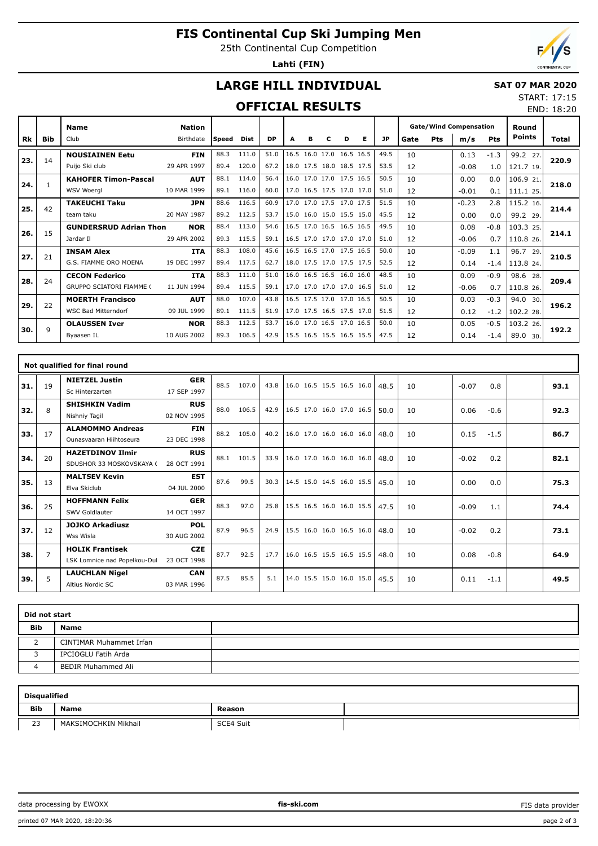# **FIS Continental Cup Ski Jumping Men**

25th Continental Cup Competition

**Lahti (FIN)**



END: 18:20

## **LARGE HILL INDIVIDUAL**

#### **SAT 07 MAR 2020** START: 17:15

### **OFFICIAL RESULTS**

|     |            | <b>Name</b>                     | <b>Nation</b> |       |       |           |                          |   |   |                          |   |           | <b>Gate/Wind Compensation</b> |     |         | Round  |               |       |
|-----|------------|---------------------------------|---------------|-------|-------|-----------|--------------------------|---|---|--------------------------|---|-----------|-------------------------------|-----|---------|--------|---------------|-------|
| Rk  | <b>Bib</b> | Club                            | Birthdate     | Speed | Dist  | <b>DP</b> | A                        | в | с | D                        | Е | <b>JP</b> | Gate                          | Pts | m/s     | Pts    | <b>Points</b> | Total |
| 23. | 14         | <b>NOUSIAINEN Eetu</b>          | <b>FIN</b>    | 88.3  | 111.0 | 51.0      | 16.5                     |   |   | 16.0 17.0 16.5 16.5      |   | 49.5      | 10                            |     | 0.13    | $-1.3$ | 99.2 27.      | 220.9 |
|     |            | Puijo Ski club                  | 29 APR 1997   | 89.4  | 120.0 | 67.2      |                          |   |   | 18.0 17.5 18.0 18.5 17.5 |   | 53.5      | 12                            |     | $-0.08$ | 1.0    | 121.7 19.     |       |
| 24. |            | <b>KAHOFER Timon-Pascal</b>     | <b>AUT</b>    | 88.1  | 114.0 | 56.4      |                          |   |   | 16.0 17.0 17.0 17.5 16.5 |   | 50.5      | 10                            |     | 0.00    | 0.0    | 106.9 21.     | 218.0 |
|     |            | <b>WSV Woeral</b>               | 10 MAR 1999   | 89.1  | 116.0 | 60.0      |                          |   |   | 17.0 16.5 17.5 17.0 17.0 |   | 51.0      | 12                            |     | $-0.01$ | 0.1    | 111.1 25.     |       |
| 25. | 42         | <b>TAKEUCHI Taku</b>            | <b>JPN</b>    | 88.6  | 116.5 | 60.9      |                          |   |   | 17.0 17.0 17.5 17.0 17.5 |   | 51.5      | 10                            |     | $-0.23$ | 2.8    | 115.2 16.     | 214.4 |
|     |            | team taku                       | 20 MAY 1987   | 89.2  | 112.5 | 53.7      |                          |   |   | 15.0 16.0 15.0 15.5 15.0 |   | 45.5      | 12                            |     | 0.00    | 0.0    | 99.2 29.      |       |
| 26. | 15         | <b>GUNDERSRUD Adrian Thon</b>   | <b>NOR</b>    | 88.4  | 113.0 | 54.6      |                          |   |   | 16.5 17.0 16.5 16.5 16.5 |   | 49.5      | 10                            |     | 0.08    | $-0.8$ | 103.3 25.     | 214.1 |
|     |            | Jardar II                       | 29 APR 2002   | 89.3  | 115.5 | 59.1      |                          |   |   | 16.5 17.0 17.0 17.0 17.0 |   | 51.0      | 12                            |     | $-0.06$ | 0.7    | 110.8 26.     |       |
| 27. | 21         | <b>INSAM Alex</b>               | <b>ITA</b>    | 88.3  | 108.0 | 45.6      |                          |   |   | 16.5 16.5 17.0 17.5 16.5 |   | 50.0      | 10                            |     | $-0.09$ | 1.1    | 96.7<br>29.   | 210.5 |
|     |            | G.S. FIAMME ORO MOENA           | 19 DEC 1997   | 89.4  | 117.5 | 62.7      |                          |   |   | 18.0 17.5 17.0 17.5 17.5 |   | 52.5      | 12                            |     | 0.14    | $-1.4$ | 113.8 24.     |       |
| 28. | 24         | <b>CECON Federico</b>           | <b>ITA</b>    | 88.3  | 111.0 | 51.0      |                          |   |   | 16.0 16.5 16.5 16.0 16.0 |   | 48.5      | 10                            |     | 0.09    | $-0.9$ | 98.6<br>28.   | 209.4 |
|     |            | <b>GRUPPO SCIATORI FIAMME (</b> | 11 JUN 1994   | 89.4  | 115.5 | 59.1      |                          |   |   | 17.0 17.0 17.0 17.0 16.5 |   | 51.0      | 12                            |     | $-0.06$ | 0.7    | 110.8 26.     |       |
| 29. | 22         | <b>MOERTH Francisco</b>         | <b>AUT</b>    | 88.0  | 107.0 | 43.8      |                          |   |   | 16.5 17.5 17.0 17.0 16.5 |   | 50.5      | 10                            |     | 0.03    | $-0.3$ | 94.0<br>30.   | 196.2 |
|     |            | <b>WSC Bad Mitterndorf</b>      | 09 JUL 1999   | 89.1  | 111.5 | 51.9      | 17.0 17.5 16.5 17.5 17.0 |   |   |                          |   | 51.5      | 12                            |     | 0.12    | $-1.2$ | 102.2 28.     |       |
| 30. | 9          | <b>OLAUSSEN Iver</b>            | <b>NOR</b>    | 88.3  | 112.5 | 53.7      |                          |   |   | 16.0 17.0 16.5 17.0 16.5 |   | 50.0      | 10                            |     | 0.05    | $-0.5$ | 103.2 26.     | 192.2 |
|     |            | Byaasen IL                      | 10 AUG 2002   | 89.3  | 106.5 | 42.9      | 15.5 16.5 15.5 16.5 15.5 |   |   |                          |   | 47.5      | 12                            |     | 0.14    | $-1.4$ | 89.0 30.      |       |

|     | Not qualified for final round |                              |             |      |       |      |                          |  |  |  |      |    |         |        |  |      |
|-----|-------------------------------|------------------------------|-------------|------|-------|------|--------------------------|--|--|--|------|----|---------|--------|--|------|
| 31. | 19                            | <b>NIETZEL Justin</b>        | <b>GER</b>  | 88.5 | 107.0 | 43.8 | 16.0 16.5 15.5 16.5 16.0 |  |  |  | 48.5 | 10 | $-0.07$ | 0.8    |  | 93.1 |
|     |                               | Sc Hinterzarten              | 17 SEP 1997 |      |       |      |                          |  |  |  |      |    |         |        |  |      |
| 32. | 8                             | <b>SHISHKIN Vadim</b>        | <b>RUS</b>  | 88.0 | 106.5 | 42.9 | 16.5 17.0 16.0 17.0 16.5 |  |  |  | 50.0 | 10 | 0.06    | $-0.6$ |  | 92.3 |
|     |                               | Nishniy Tagil                | 02 NOV 1995 |      |       |      |                          |  |  |  |      |    |         |        |  |      |
| 33. | 17                            | <b>ALAMOMMO Andreas</b>      | <b>FIN</b>  | 88.2 | 105.0 | 40.2 | 16.0 17.0 16.0 16.0 16.0 |  |  |  | 48.0 | 10 | 0.15    | $-1.5$ |  | 86.7 |
|     |                               | Qunasyaaran Hiihtoseura      | 23 DEC 1998 |      |       |      |                          |  |  |  |      |    |         |        |  |      |
| 34. | 20                            | <b>HAZETDINOV Ilmir</b>      | <b>RUS</b>  | 88.1 | 101.5 | 33.9 | 16.0 17.0 16.0 16.0 16.0 |  |  |  | 48.0 | 10 | $-0.02$ | 0.2    |  | 82.1 |
|     |                               | SDUSHOR 33 MOSKOVSKAYA (     | 28 OCT 1991 |      |       |      |                          |  |  |  |      |    |         |        |  |      |
| 35. | 13                            | <b>MALTSEV Kevin</b>         | <b>EST</b>  | 87.6 | 99.5  | 30.3 | 14.5 15.0 14.5 16.0 15.5 |  |  |  | 45.0 | 10 | 0.00    | 0.0    |  | 75.3 |
|     |                               | Elva Skiclub                 | 04 JUL 2000 |      |       |      |                          |  |  |  |      |    |         |        |  |      |
| 36. | 25                            | <b>HOFFMANN Felix</b>        | <b>GER</b>  | 88.3 | 97.0  | 25.8 | 15.5 16.5 16.0 16.0 15.5 |  |  |  | 47.5 | 10 | $-0.09$ | 1.1    |  | 74.4 |
|     |                               | SWV Goldlauter               | 14 OCT 1997 |      |       |      |                          |  |  |  |      |    |         |        |  |      |
| 37. | 12                            | <b>JOJKO Arkadiusz</b>       | <b>POL</b>  | 87.9 | 96.5  | 24.9 | 15.5 16.0 16.0 16.5 16.0 |  |  |  | 48.0 | 10 | $-0.02$ | 0.2    |  | 73.1 |
|     |                               | Wss Wisla                    | 30 AUG 2002 |      |       |      |                          |  |  |  |      |    |         |        |  |      |
| 38. | $\overline{7}$                | <b>HOLIK Frantisek</b>       | <b>CZE</b>  | 87.7 | 92.5  | 17.7 | 16.0 16.5 15.5 16.5 15.5 |  |  |  | 48.0 | 10 | 0.08    | $-0.8$ |  | 64.9 |
|     |                               | LSK Lomnice nad Popelkou-Dul | 23 OCT 1998 |      |       |      |                          |  |  |  |      |    |         |        |  |      |
| 39. | 5                             | <b>LAUCHLAN Nigel</b>        | <b>CAN</b>  | 87.5 | 85.5  | 5.1  | 14.0 15.5 15.0 16.0 15.0 |  |  |  | 45.5 | 10 | 0.11    | $-1.1$ |  | 49.5 |
|     |                               | Altius Nordic SC             | 03 MAR 1996 |      |       |      |                          |  |  |  |      |    |         |        |  |      |

|            | Did not start             |  |  |  |  |  |  |  |  |  |  |
|------------|---------------------------|--|--|--|--|--|--|--|--|--|--|
| <b>Bib</b> | <b>Name</b>               |  |  |  |  |  |  |  |  |  |  |
|            | CINTIMAR Muhammet Irfan   |  |  |  |  |  |  |  |  |  |  |
|            | IPCIOGLU Fatih Arda       |  |  |  |  |  |  |  |  |  |  |
|            | <b>BEDIR Muhammed Ali</b> |  |  |  |  |  |  |  |  |  |  |

|     | <b>Disqualified</b>  |           |  |  |  |  |  |  |  |  |  |  |  |
|-----|----------------------|-----------|--|--|--|--|--|--|--|--|--|--|--|
| Bib | <b>Name</b>          | Reason    |  |  |  |  |  |  |  |  |  |  |  |
| 23  | MAKSIMOCHKIN Mikhail | SCE4 Suit |  |  |  |  |  |  |  |  |  |  |  |